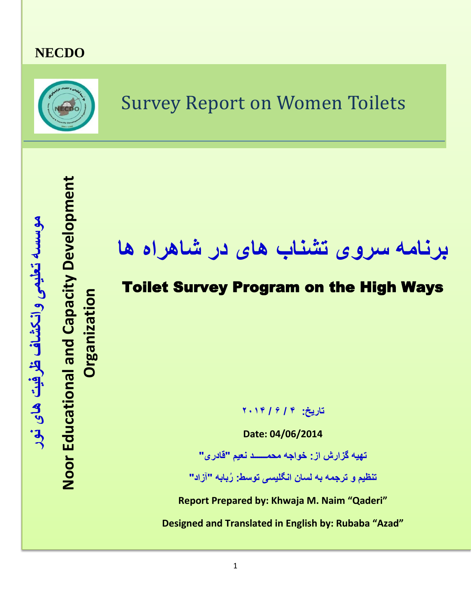### **NECDO**



### Survey Report on Women Toilets

# **برنامه سروی تشناب های در شاهراه ها**

### Toilet Survey Program on the High Ways

**تاریخ: ۴ / ۶ / ۲۰۱۴**

**Date: 04/06/2014**

**تهیه گزارش از: خواجه محمــــــد نعیم "قادری"**

**تنظیم و ترجمه به لسان انگلیسی توسط: ُربابه "آزاد"**

**Report Prepared by: Khwaja M. Naim "Qaderi"**

**Designed and Translated in English by: Rubaba "Azad"**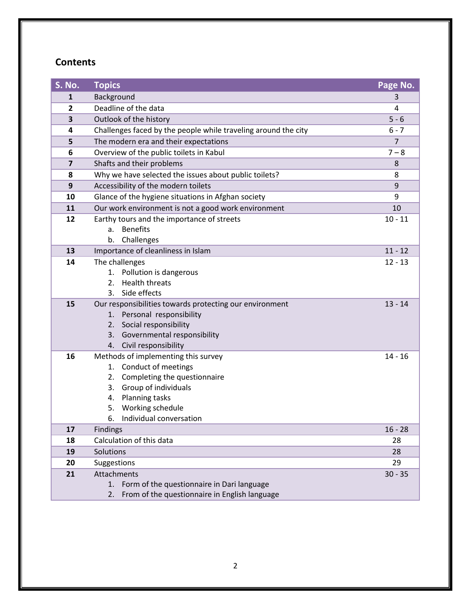#### **Contents**

| S. No.         | <b>Topics</b>                                                  | Page No.       |  |  |  |  |  |  |
|----------------|----------------------------------------------------------------|----------------|--|--|--|--|--|--|
| 1              | Background                                                     | 3              |  |  |  |  |  |  |
| $\overline{2}$ | Deadline of the data                                           | 4              |  |  |  |  |  |  |
| 3              | Outlook of the history                                         | $5 - 6$        |  |  |  |  |  |  |
| 4              | Challenges faced by the people while traveling around the city | $6 - 7$        |  |  |  |  |  |  |
| 5              | The modern era and their expectations                          | $\overline{7}$ |  |  |  |  |  |  |
| 6              | Overview of the public toilets in Kabul                        | $7 - 8$        |  |  |  |  |  |  |
| 7              | Shafts and their problems                                      | 8              |  |  |  |  |  |  |
| 8              | Why we have selected the issues about public toilets?<br>8     |                |  |  |  |  |  |  |
| 9              | Accessibility of the modern toilets                            | 9              |  |  |  |  |  |  |
| 10             | Glance of the hygiene situations in Afghan society             | 9              |  |  |  |  |  |  |
| 11             | Our work environment is not a good work environment            | 10             |  |  |  |  |  |  |
| 12             | Earthy tours and the importance of streets                     | $10 - 11$      |  |  |  |  |  |  |
|                | <b>Benefits</b><br>a.                                          |                |  |  |  |  |  |  |
|                | Challenges<br>b.                                               |                |  |  |  |  |  |  |
| 13             | Importance of cleanliness in Islam                             | $11 - 12$      |  |  |  |  |  |  |
| 14             | The challenges                                                 | $12 - 13$      |  |  |  |  |  |  |
|                | 1. Pollution is dangerous                                      |                |  |  |  |  |  |  |
|                | <b>Health threats</b><br>2.                                    |                |  |  |  |  |  |  |
|                | Side effects<br>3.                                             |                |  |  |  |  |  |  |
| 15             | Our responsibilities towards protecting our environment        | $13 - 14$      |  |  |  |  |  |  |
|                | 1. Personal responsibility<br>Social responsibility<br>2.      |                |  |  |  |  |  |  |
|                | 3. Governmental responsibility                                 |                |  |  |  |  |  |  |
|                | 4. Civil responsibility                                        |                |  |  |  |  |  |  |
| 16             | Methods of implementing this survey                            | $14 - 16$      |  |  |  |  |  |  |
|                | Conduct of meetings<br>1.                                      |                |  |  |  |  |  |  |
|                | Completing the questionnaire<br>2.                             |                |  |  |  |  |  |  |
|                | 3. Group of individuals                                        |                |  |  |  |  |  |  |
|                | <b>Planning tasks</b><br>4.                                    |                |  |  |  |  |  |  |
|                | Working schedule<br>5.                                         |                |  |  |  |  |  |  |
|                | Individual conversation<br>6.                                  |                |  |  |  |  |  |  |
| 17             | <b>Findings</b>                                                | $16 - 28$      |  |  |  |  |  |  |
| 18             | Calculation of this data                                       | 28             |  |  |  |  |  |  |
| 19             | Solutions                                                      | 28             |  |  |  |  |  |  |
| 20             | Suggestions                                                    | 29             |  |  |  |  |  |  |
| 21             | Attachments                                                    | $30 - 35$      |  |  |  |  |  |  |
|                | Form of the questionnaire in Dari language<br>1.               |                |  |  |  |  |  |  |
|                | From of the questionnaire in English language<br>2.            |                |  |  |  |  |  |  |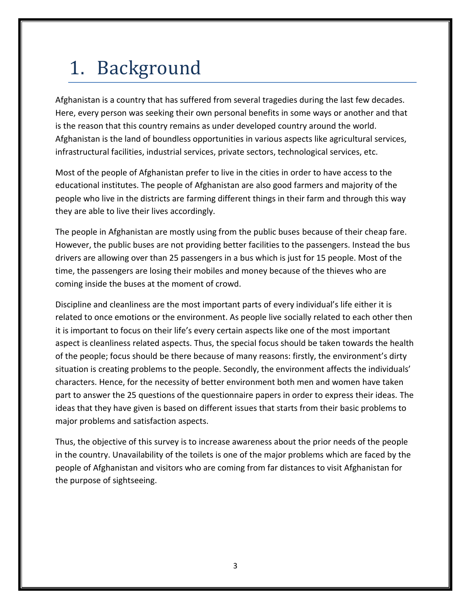# 1. Background

Afghanistan is a country that has suffered from several tragedies during the last few decades. Here, every person was seeking their own personal benefits in some ways or another and that is the reason that this country remains as under developed country around the world. Afghanistan is the land of boundless opportunities in various aspects like agricultural services, infrastructural facilities, industrial services, private sectors, technological services, etc.

Most of the people of Afghanistan prefer to live in the cities in order to have access to the educational institutes. The people of Afghanistan are also good farmers and majority of the people who live in the districts are farming different things in their farm and through this way they are able to live their lives accordingly.

The people in Afghanistan are mostly using from the public buses because of their cheap fare. However, the public buses are not providing better facilities to the passengers. Instead the bus drivers are allowing over than 25 passengers in a bus which is just for 15 people. Most of the time, the passengers are losing their mobiles and money because of the thieves who are coming inside the buses at the moment of crowd.

Discipline and cleanliness are the most important parts of every individual's life either it is related to once emotions or the environment. As people live socially related to each other then it is important to focus on their life's every certain aspects like one of the most important aspect is cleanliness related aspects. Thus, the special focus should be taken towards the health of the people; focus should be there because of many reasons: firstly, the environment's dirty situation is creating problems to the people. Secondly, the environment affects the individuals' characters. Hence, for the necessity of better environment both men and women have taken part to answer the 25 questions of the questionnaire papers in order to express their ideas. The ideas that they have given is based on different issues that starts from their basic problems to major problems and satisfaction aspects.

Thus, the objective of this survey is to increase awareness about the prior needs of the people in the country. Unavailability of the toilets is one of the major problems which are faced by the people of Afghanistan and visitors who are coming from far distances to visit Afghanistan for the purpose of sightseeing.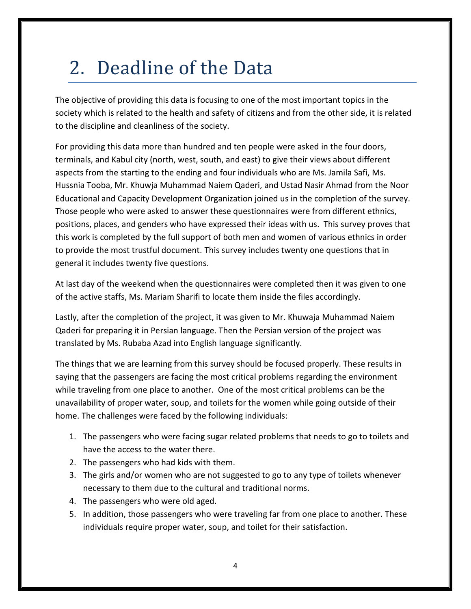# 2. Deadline of the Data

The objective of providing this data is focusing to one of the most important topics in the society which is related to the health and safety of citizens and from the other side, it is related to the discipline and cleanliness of the society.

For providing this data more than hundred and ten people were asked in the four doors, terminals, and Kabul city (north, west, south, and east) to give their views about different aspects from the starting to the ending and four individuals who are Ms. Jamila Safi, Ms. Hussnia Tooba, Mr. Khuwja Muhammad Naiem Qaderi, and Ustad Nasir Ahmad from the Noor Educational and Capacity Development Organization joined us in the completion of the survey. Those people who were asked to answer these questionnaires were from different ethnics, positions, places, and genders who have expressed their ideas with us. This survey proves that this work is completed by the full support of both men and women of various ethnics in order to provide the most trustful document. This survey includes twenty one questions that in general it includes twenty five questions.

At last day of the weekend when the questionnaires were completed then it was given to one of the active staffs, Ms. Mariam Sharifi to locate them inside the files accordingly.

Lastly, after the completion of the project, it was given to Mr. Khuwaja Muhammad Naiem Qaderi for preparing it in Persian language. Then the Persian version of the project was translated by Ms. Rubaba Azad into English language significantly.

The things that we are learning from this survey should be focused properly. These results in saying that the passengers are facing the most critical problems regarding the environment while traveling from one place to another. One of the most critical problems can be the unavailability of proper water, soup, and toilets for the women while going outside of their home. The challenges were faced by the following individuals:

- 1. The passengers who were facing sugar related problems that needs to go to toilets and have the access to the water there.
- 2. The passengers who had kids with them.
- 3. The girls and/or women who are not suggested to go to any type of toilets whenever necessary to them due to the cultural and traditional norms.
- 4. The passengers who were old aged.
- 5. In addition, those passengers who were traveling far from one place to another. These individuals require proper water, soup, and toilet for their satisfaction.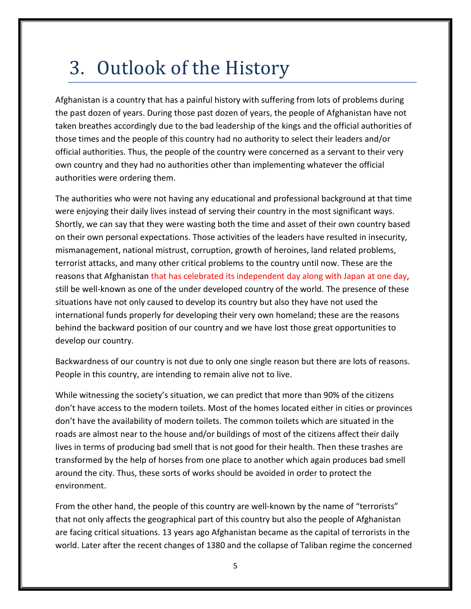### 3. Outlook of the History

Afghanistan is a country that has a painful history with suffering from lots of problems during the past dozen of years. During those past dozen of years, the people of Afghanistan have not taken breathes accordingly due to the bad leadership of the kings and the official authorities of those times and the people of this country had no authority to select their leaders and/or official authorities. Thus, the people of the country were concerned as a servant to their very own country and they had no authorities other than implementing whatever the official authorities were ordering them.

The authorities who were not having any educational and professional background at that time were enjoying their daily lives instead of serving their country in the most significant ways. Shortly, we can say that they were wasting both the time and asset of their own country based on their own personal expectations. Those activities of the leaders have resulted in insecurity, mismanagement, national mistrust, corruption, growth of heroines, land related problems, terrorist attacks, and many other critical problems to the country until now. These are the reasons that Afghanistan that has celebrated its independent day along with Japan at one day, still be well-known as one of the under developed country of the world. The presence of these situations have not only caused to develop its country but also they have not used the international funds properly for developing their very own homeland; these are the reasons behind the backward position of our country and we have lost those great opportunities to develop our country.

Backwardness of our country is not due to only one single reason but there are lots of reasons. People in this country, are intending to remain alive not to live.

While witnessing the society's situation, we can predict that more than 90% of the citizens don't have access to the modern toilets. Most of the homes located either in cities or provinces don't have the availability of modern toilets. The common toilets which are situated in the roads are almost near to the house and/or buildings of most of the citizens affect their daily lives in terms of producing bad smell that is not good for their health. Then these trashes are transformed by the help of horses from one place to another which again produces bad smell around the city. Thus, these sorts of works should be avoided in order to protect the environment.

From the other hand, the people of this country are well-known by the name of "terrorists" that not only affects the geographical part of this country but also the people of Afghanistan are facing critical situations. 13 years ago Afghanistan became as the capital of terrorists in the world. Later after the recent changes of 1380 and the collapse of Taliban regime the concerned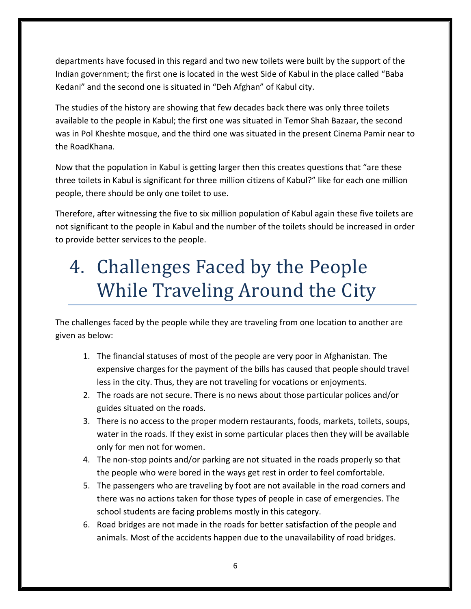departments have focused in this regard and two new toilets were built by the support of the Indian government; the first one is located in the west Side of Kabul in the place called "Baba Kedani" and the second one is situated in "Deh Afghan" of Kabul city.

The studies of the history are showing that few decades back there was only three toilets available to the people in Kabul; the first one was situated in Temor Shah Bazaar, the second was in Pol Kheshte mosque, and the third one was situated in the present Cinema Pamir near to the RoadKhana.

Now that the population in Kabul is getting larger then this creates questions that "are these three toilets in Kabul is significant for three million citizens of Kabul?" like for each one million people, there should be only one toilet to use.

Therefore, after witnessing the five to six million population of Kabul again these five toilets are not significant to the people in Kabul and the number of the toilets should be increased in order to provide better services to the people.

# 4. Challenges Faced by the People While Traveling Around the City

The challenges faced by the people while they are traveling from one location to another are given as below:

- 1. The financial statuses of most of the people are very poor in Afghanistan. The expensive charges for the payment of the bills has caused that people should travel less in the city. Thus, they are not traveling for vocations or enjoyments.
- 2. The roads are not secure. There is no news about those particular polices and/or guides situated on the roads.
- 3. There is no access to the proper modern restaurants, foods, markets, toilets, soups, water in the roads. If they exist in some particular places then they will be available only for men not for women.
- 4. The non-stop points and/or parking are not situated in the roads properly so that the people who were bored in the ways get rest in order to feel comfortable.
- 5. The passengers who are traveling by foot are not available in the road corners and there was no actions taken for those types of people in case of emergencies. The school students are facing problems mostly in this category.
- 6. Road bridges are not made in the roads for better satisfaction of the people and animals. Most of the accidents happen due to the unavailability of road bridges.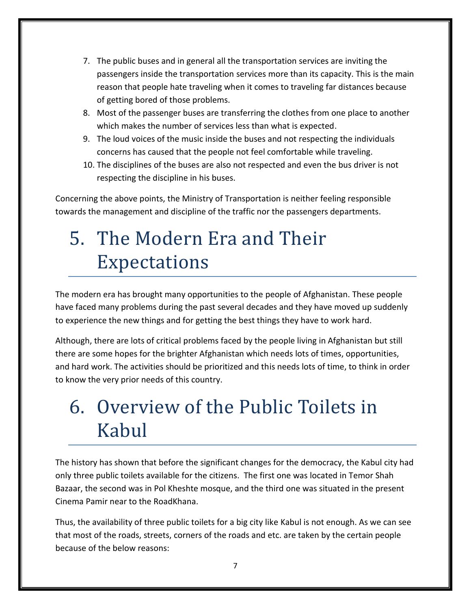- 7. The public buses and in general all the transportation services are inviting the passengers inside the transportation services more than its capacity. This is the main reason that people hate traveling when it comes to traveling far distances because of getting bored of those problems.
- 8. Most of the passenger buses are transferring the clothes from one place to another which makes the number of services less than what is expected.
- 9. The loud voices of the music inside the buses and not respecting the individuals concerns has caused that the people not feel comfortable while traveling.
- 10. The disciplines of the buses are also not respected and even the bus driver is not respecting the discipline in his buses.

Concerning the above points, the Ministry of Transportation is neither feeling responsible towards the management and discipline of the traffic nor the passengers departments.

# 5. The Modern Era and Their Expectations

The modern era has brought many opportunities to the people of Afghanistan. These people have faced many problems during the past several decades and they have moved up suddenly to experience the new things and for getting the best things they have to work hard.

Although, there are lots of critical problems faced by the people living in Afghanistan but still there are some hopes for the brighter Afghanistan which needs lots of times, opportunities, and hard work. The activities should be prioritized and this needs lots of time, to think in order to know the very prior needs of this country.

## 6. Overview of the Public Toilets in Kabul

The history has shown that before the significant changes for the democracy, the Kabul city had only three public toilets available for the citizens. The first one was located in Temor Shah Bazaar, the second was in Pol Kheshte mosque, and the third one was situated in the present Cinema Pamir near to the RoadKhana.

Thus, the availability of three public toilets for a big city like Kabul is not enough. As we can see that most of the roads, streets, corners of the roads and etc. are taken by the certain people because of the below reasons: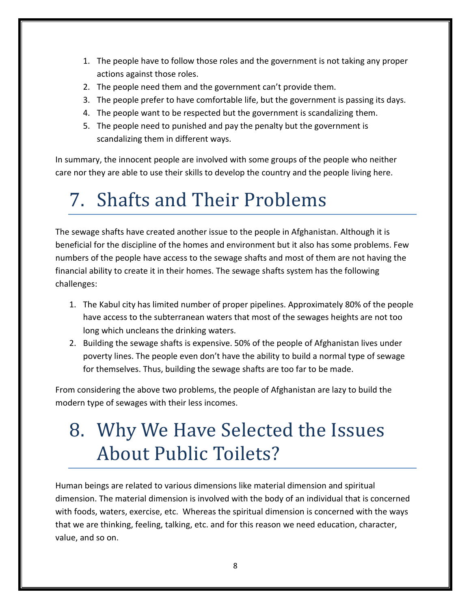- 1. The people have to follow those roles and the government is not taking any proper actions against those roles.
- 2. The people need them and the government can't provide them.
- 3. The people prefer to have comfortable life, but the government is passing its days.
- 4. The people want to be respected but the government is scandalizing them.
- 5. The people need to punished and pay the penalty but the government is scandalizing them in different ways.

In summary, the innocent people are involved with some groups of the people who neither care nor they are able to use their skills to develop the country and the people living here.

# 7. Shafts and Their Problems

The sewage shafts have created another issue to the people in Afghanistan. Although it is beneficial for the discipline of the homes and environment but it also has some problems. Few numbers of the people have access to the sewage shafts and most of them are not having the financial ability to create it in their homes. The sewage shafts system has the following challenges:

- 1. The Kabul city has limited number of proper pipelines. Approximately 80% of the people have access to the subterranean waters that most of the sewages heights are not too long which uncleans the drinking waters.
- 2. Building the sewage shafts is expensive. 50% of the people of Afghanistan lives under poverty lines. The people even don't have the ability to build a normal type of sewage for themselves. Thus, building the sewage shafts are too far to be made.

From considering the above two problems, the people of Afghanistan are lazy to build the modern type of sewages with their less incomes.

## 8. Why We Have Selected the Issues About Public Toilets?

Human beings are related to various dimensions like material dimension and spiritual dimension. The material dimension is involved with the body of an individual that is concerned with foods, waters, exercise, etc. Whereas the spiritual dimension is concerned with the ways that we are thinking, feeling, talking, etc. and for this reason we need education, character, value, and so on.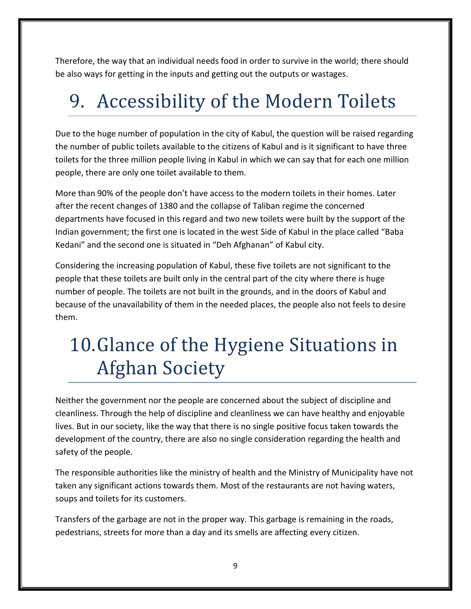Therefore, the way that an individual needs food in order to survive in the world; there should be also ways for getting in the inputs and getting out the outputs or wastages.

# 9. Accessibility of the Modern Toilets

Due to the huge number of population in the city of Kabul, the question will be raised regarding the number of public toilets available to the citizens of Kabul and is it significant to have three toilets for the three million people living in Kabul in which we can say that for each one million people, there are only one toilet available to them.

More than 90% of the people don't have access to the modern toilets in their homes. Later after the recent changes of 1380 and the collapse of Taliban regime the concerned departments have focused in this regard and two new toilets were built by the support of the Indian government; the first one is located in the west Side of Kabul in the place called "Baba Kedani" and the second one is situated in "Deh Afghanan" of Kabul city.

Considering the increasing population of Kabul, these five toilets are not significant to the people that these toilets are built only in the central part of the city where there is huge number of people. The toilets are not built in the grounds, and in the doors of Kabul and because of the unavailability of them in the needed places, the people also not feels to desire them.

# 10.Glance of the Hygiene Situations in Afghan Society

Neither the government nor the people are concerned about the subject of discipline and cleanliness. Through the help of discipline and cleanliness we can have healthy and enjoyable lives. But in our society, like the way that there is no single positive focus taken towards the development of the country, there are also no single consideration regarding the health and safety of the people.

The responsible authorities like the ministry of health and the Ministry of Municipality have not taken any significant actions towards them. Most of the restaurants are not having waters, soups and toilets for its customers.

Transfers of the garbage are not in the proper way. This garbage is remaining in the roads, pedestrians, streets for more than a day and its smells are affecting every citizen.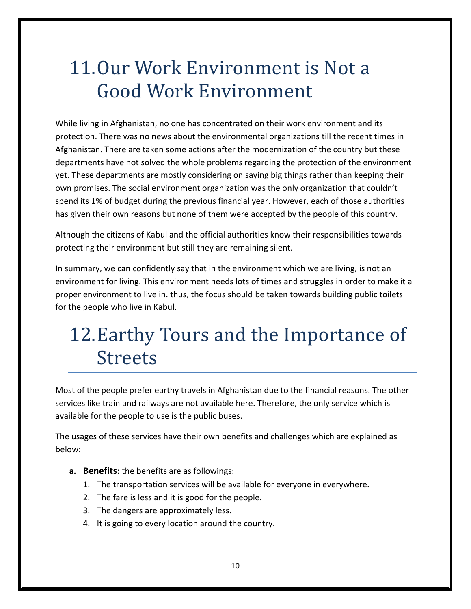# 11.Our Work Environment is Not a Good Work Environment

While living in Afghanistan, no one has concentrated on their work environment and its protection. There was no news about the environmental organizations till the recent times in Afghanistan. There are taken some actions after the modernization of the country but these departments have not solved the whole problems regarding the protection of the environment yet. These departments are mostly considering on saying big things rather than keeping their own promises. The social environment organization was the only organization that couldn't spend its 1% of budget during the previous financial year. However, each of those authorities has given their own reasons but none of them were accepted by the people of this country.

Although the citizens of Kabul and the official authorities know their responsibilities towards protecting their environment but still they are remaining silent.

In summary, we can confidently say that in the environment which we are living, is not an environment for living. This environment needs lots of times and struggles in order to make it a proper environment to live in. thus, the focus should be taken towards building public toilets for the people who live in Kabul.

## 12.Earthy Tours and the Importance of Streets

Most of the people prefer earthy travels in Afghanistan due to the financial reasons. The other services like train and railways are not available here. Therefore, the only service which is available for the people to use is the public buses.

The usages of these services have their own benefits and challenges which are explained as below:

- **a. Benefits:** the benefits are as followings:
	- 1. The transportation services will be available for everyone in everywhere.
	- 2. The fare is less and it is good for the people.
	- 3. The dangers are approximately less.
	- 4. It is going to every location around the country.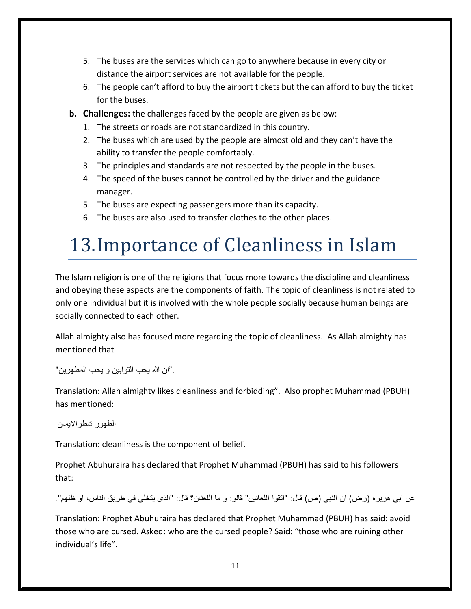- 5. The buses are the services which can go to anywhere because in every city or distance the airport services are not available for the people.
- 6. The people can't afford to buy the airport tickets but the can afford to buy the ticket for the buses.
- **b. Challenges:** the challenges faced by the people are given as below:
	- 1. The streets or roads are not standardized in this country.
	- 2. The buses which are used by the people are almost old and they can't have the ability to transfer the people comfortably.
	- 3. The principles and standards are not respected by the people in the buses.
	- 4. The speed of the buses cannot be controlled by the driver and the guidance manager.
	- 5. The buses are expecting passengers more than its capacity.
	- 6. The buses are also used to transfer clothes to the other places.

# 13.Importance of Cleanliness in Islam

The Islam religion is one of the religions that focus more towards the discipline and cleanliness and obeying these aspects are the components of faith. The topic of cleanliness is not related to only one individual but it is involved with the whole people socially because human beings are socially connected to each other.

Allah almighty also has focused more regarding the topic of cleanliness. As Allah almighty has mentioned that

."ان الله یحب التوابین و یحب المطهرین"

Translation: Allah almighty likes cleanliness and forbidding". Also prophet Muhammad (PBUH) has mentioned:

الطهور شطراالیمان

Translation: cleanliness is the component of belief.

Prophet Abuhuraira has declared that Prophet Muhammad (PBUH) has said to his followers that:

عن ابی هریره (رض) ان النبی (ص) قال: "اتقوا اللعانین" قالو: و ما اللعنان؟ قال: "الذی یتخلی فی طریق الناس، او ظلهم".

Translation: Prophet Abuhuraira has declared that Prophet Muhammad (PBUH) has said: avoid those who are cursed. Asked: who are the cursed people? Said: "those who are ruining other individual's life".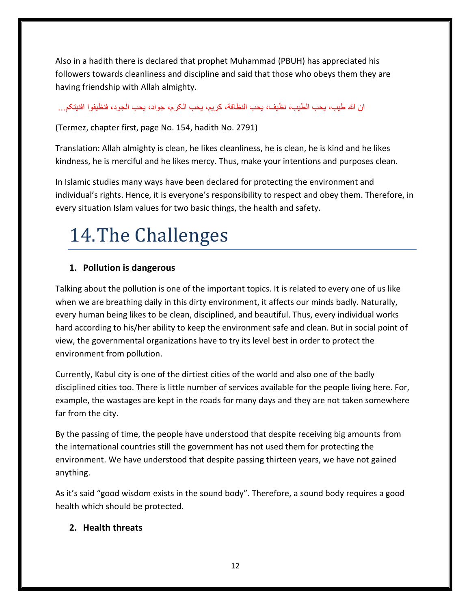Also in a hadith there is declared that prophet Muhammad (PBUH) has appreciated his followers towards cleanliness and discipline and said that those who obeys them they are having friendship with Allah almighty.

ان الله طیب، یحب الطیب، نظیف، یحب النظافة، کریم، یحب الکرم، جواد، یحب الجود، فنظیفوا افنیتکم...

(Termez, chapter first, page No. 154, hadith No. 2791)

Translation: Allah almighty is clean, he likes cleanliness, he is clean, he is kind and he likes kindness, he is merciful and he likes mercy. Thus, make your intentions and purposes clean.

In Islamic studies many ways have been declared for protecting the environment and individual's rights. Hence, it is everyone's responsibility to respect and obey them. Therefore, in every situation Islam values for two basic things, the health and safety.

# 14.The Challenges

#### **1. Pollution is dangerous**

Talking about the pollution is one of the important topics. It is related to every one of us like when we are breathing daily in this dirty environment, it affects our minds badly. Naturally, every human being likes to be clean, disciplined, and beautiful. Thus, every individual works hard according to his/her ability to keep the environment safe and clean. But in social point of view, the governmental organizations have to try its level best in order to protect the environment from pollution.

Currently, Kabul city is one of the dirtiest cities of the world and also one of the badly disciplined cities too. There is little number of services available for the people living here. For, example, the wastages are kept in the roads for many days and they are not taken somewhere far from the city.

By the passing of time, the people have understood that despite receiving big amounts from the international countries still the government has not used them for protecting the environment. We have understood that despite passing thirteen years, we have not gained anything.

As it's said "good wisdom exists in the sound body". Therefore, a sound body requires a good health which should be protected.

#### **2. Health threats**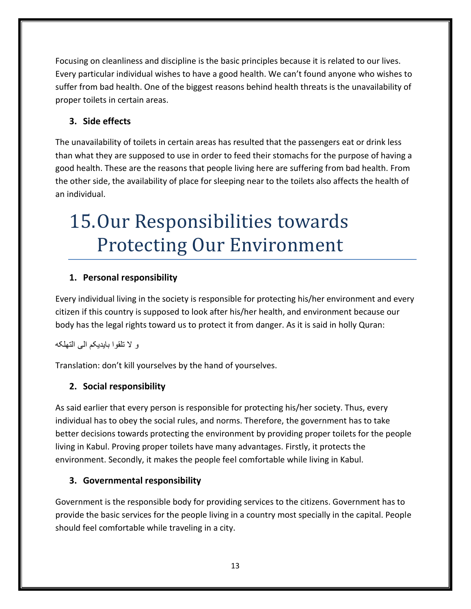Focusing on cleanliness and discipline is the basic principles because it is related to our lives. Every particular individual wishes to have a good health. We can't found anyone who wishes to suffer from bad health. One of the biggest reasons behind health threats is the unavailability of proper toilets in certain areas.

#### **3. Side effects**

The unavailability of toilets in certain areas has resulted that the passengers eat or drink less than what they are supposed to use in order to feed their stomachs for the purpose of having a good health. These are the reasons that people living here are suffering from bad health. From the other side, the availability of place for sleeping near to the toilets also affects the health of an individual.

# 15.Our Responsibilities towards Protecting Our Environment

#### **1. Personal responsibility**

Every individual living in the society is responsible for protecting his/her environment and every citizen if this country is supposed to look after his/her health, and environment because our body has the legal rights toward us to protect it from danger. As it is said in holly Quran:

و ال تلقوا بایدیکم الی التهلکه

Translation: don't kill yourselves by the hand of yourselves.

#### **2. Social responsibility**

As said earlier that every person is responsible for protecting his/her society. Thus, every individual has to obey the social rules, and norms. Therefore, the government has to take better decisions towards protecting the environment by providing proper toilets for the people living in Kabul. Proving proper toilets have many advantages. Firstly, it protects the environment. Secondly, it makes the people feel comfortable while living in Kabul.

#### **3. Governmental responsibility**

Government is the responsible body for providing services to the citizens. Government has to provide the basic services for the people living in a country most specially in the capital. People should feel comfortable while traveling in a city.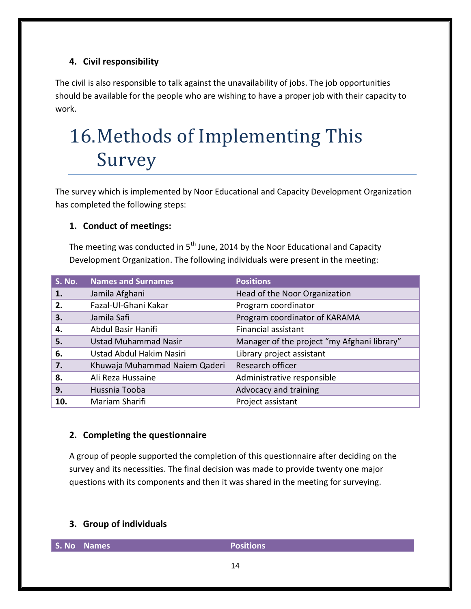#### **4. Civil responsibility**

The civil is also responsible to talk against the unavailability of jobs. The job opportunities should be available for the people who are wishing to have a proper job with their capacity to work.

# 16.Methods of Implementing This Survey

The survey which is implemented by Noor Educational and Capacity Development Organization has completed the following steps:

#### **1. Conduct of meetings:**

The meeting was conducted in  $5<sup>th</sup>$  June, 2014 by the Noor Educational and Capacity Development Organization. The following individuals were present in the meeting:

| <b>S. No.</b> | <b>Names and Surnames</b>     | <b>Positions</b>                            |
|---------------|-------------------------------|---------------------------------------------|
| 1.            | Jamila Afghani                | Head of the Noor Organization               |
| 2.            | Fazal-Ul-Ghani Kakar          | Program coordinator                         |
| 3.            | Jamila Safi                   | Program coordinator of KARAMA               |
| 4.            | Abdul Basir Hanifi            | <b>Financial assistant</b>                  |
| 5.            | <b>Ustad Muhammad Nasir</b>   | Manager of the project "my Afghani library" |
| 6.            | Ustad Abdul Hakim Nasiri      | Library project assistant                   |
| 7.            | Khuwaja Muhammad Naiem Qaderi | Research officer                            |
| 8.            | Ali Reza Hussaine             | Administrative responsible                  |
| 9.            | Hussnia Tooba                 | Advocacy and training                       |
| 10.           | Mariam Sharifi                | Project assistant                           |

#### **2. Completing the questionnaire**

A group of people supported the completion of this questionnaire after deciding on the survey and its necessities. The final decision was made to provide twenty one major questions with its components and then it was shared in the meeting for surveying.

#### **3. Group of individuals**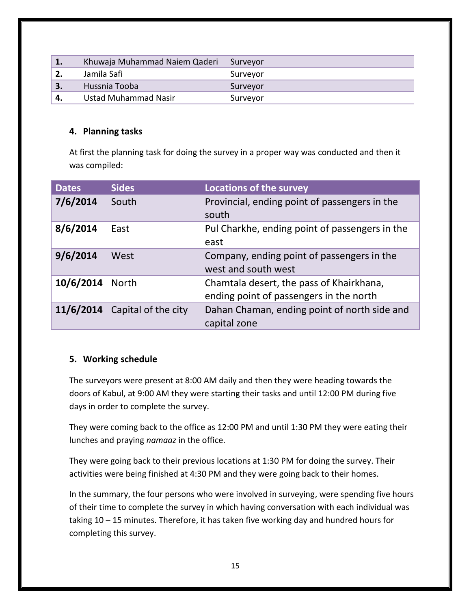|    | Khuwaja Muhammad Naiem Qaderi | Surveyor |
|----|-------------------------------|----------|
|    | Jamila Safi                   | Surveyor |
| 3. | Hussnia Tooba                 | Surveyor |
| Δ  | Ustad Muhammad Nasir          | Surveyor |

#### **4. Planning tasks**

At first the planning task for doing the survey in a proper way was conducted and then it was compiled:

| <b>Dates</b> | <b>Sides</b>        | <b>Locations of the survey</b>                                                      |
|--------------|---------------------|-------------------------------------------------------------------------------------|
| 7/6/2014     | South               | Provincial, ending point of passengers in the<br>south                              |
| 8/6/2014     | East                | Pul Charkhe, ending point of passengers in the<br>east                              |
| 9/6/2014     | West                | Company, ending point of passengers in the<br>west and south west                   |
| 10/6/2014    | <b>North</b>        | Chamtala desert, the pass of Khairkhana,<br>ending point of passengers in the north |
| 11/6/2014    | Capital of the city | Dahan Chaman, ending point of north side and<br>capital zone                        |

#### **5. Working schedule**

The surveyors were present at 8:00 AM daily and then they were heading towards the doors of Kabul, at 9:00 AM they were starting their tasks and until 12:00 PM during five days in order to complete the survey.

They were coming back to the office as 12:00 PM and until 1:30 PM they were eating their lunches and praying *namaaz* in the office.

They were going back to their previous locations at 1:30 PM for doing the survey. Their activities were being finished at 4:30 PM and they were going back to their homes.

In the summary, the four persons who were involved in surveying, were spending five hours of their time to complete the survey in which having conversation with each individual was taking 10 – 15 minutes. Therefore, it has taken five working day and hundred hours for completing this survey.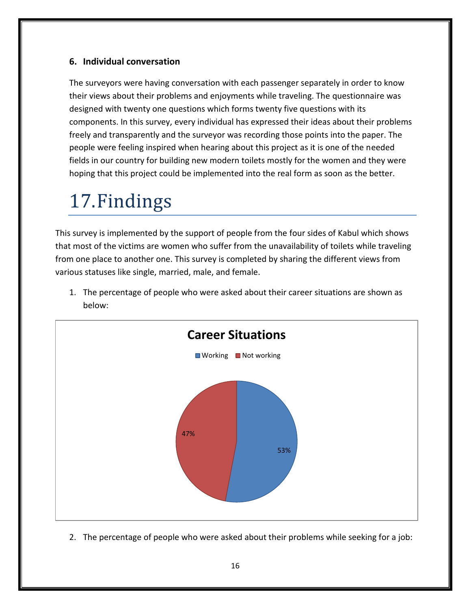#### **6. Individual conversation**

The surveyors were having conversation with each passenger separately in order to know their views about their problems and enjoyments while traveling. The questionnaire was designed with twenty one questions which forms twenty five questions with its components. In this survey, every individual has expressed their ideas about their problems freely and transparently and the surveyor was recording those points into the paper. The people were feeling inspired when hearing about this project as it is one of the needed fields in our country for building new modern toilets mostly for the women and they were hoping that this project could be implemented into the real form as soon as the better.

### 17.Findings

This survey is implemented by the support of people from the four sides of Kabul which shows that most of the victims are women who suffer from the unavailability of toilets while traveling from one place to another one. This survey is completed by sharing the different views from various statuses like single, married, male, and female.



1. The percentage of people who were asked about their career situations are shown as below:

2. The percentage of people who were asked about their problems while seeking for a job: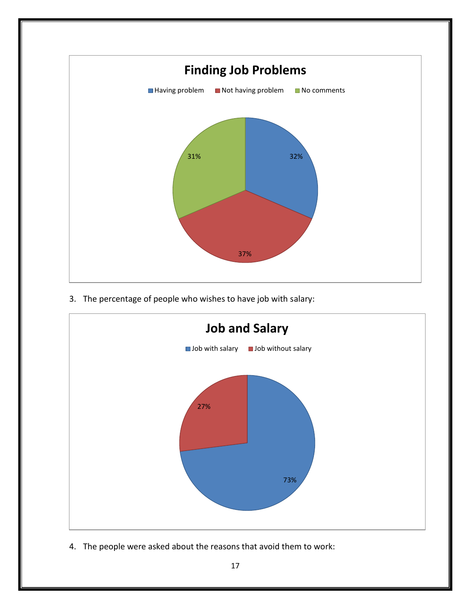

3. The percentage of people who wishes to have job with salary:



4. The people were asked about the reasons that avoid them to work: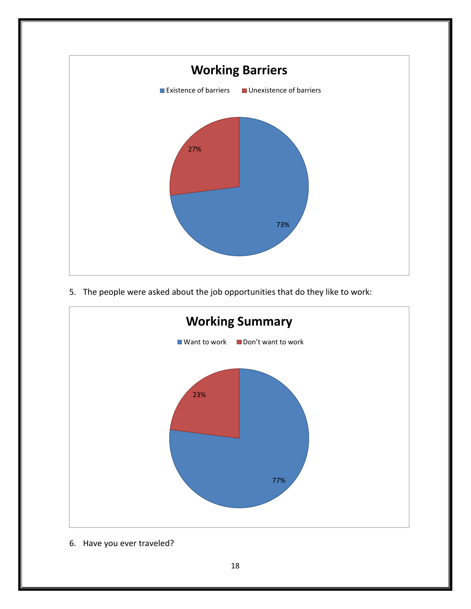

5. The people were asked about the job opportunities that do they like to work:



6. Have you ever traveled?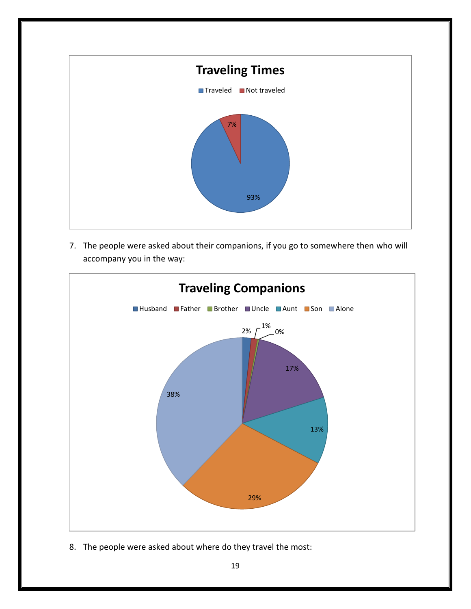

7. The people were asked about their companions, if you go to somewhere then who will accompany you in the way:



8. The people were asked about where do they travel the most: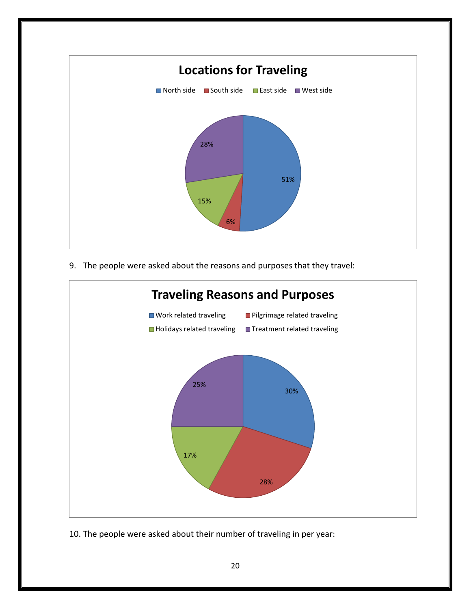

9. The people were asked about the reasons and purposes that they travel:



10. The people were asked about their number of traveling in per year: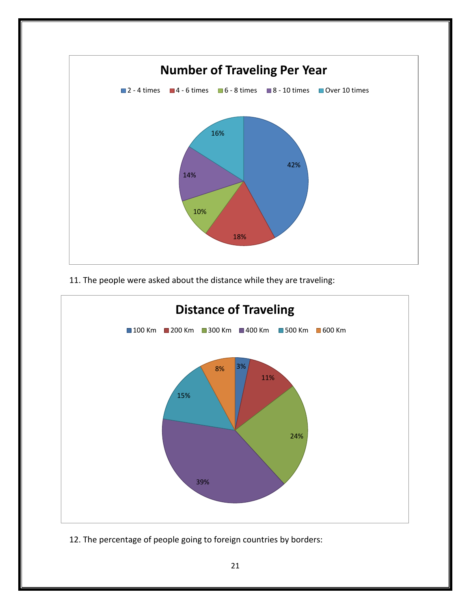

11. The people were asked about the distance while they are traveling:



12. The percentage of people going to foreign countries by borders: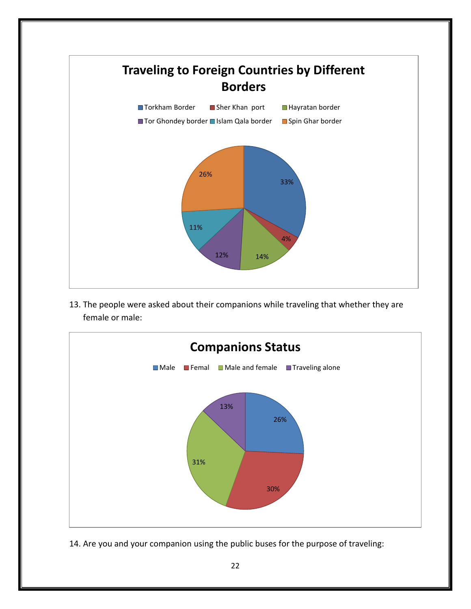

13. The people were asked about their companions while traveling that whether they are female or male:



14. Are you and your companion using the public buses for the purpose of traveling: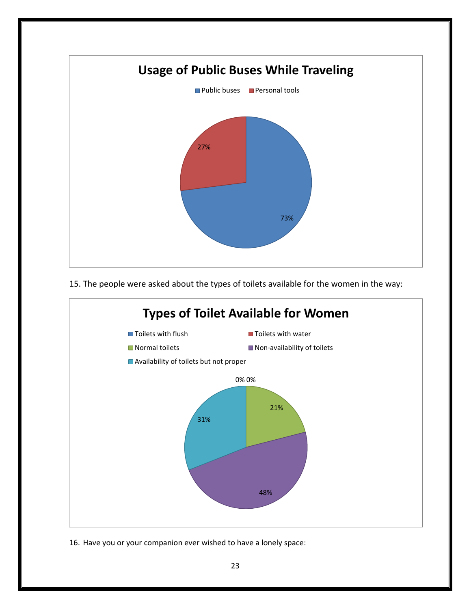

15. The people were asked about the types of toilets available for the women in the way:



16. Have you or your companion ever wished to have a lonely space: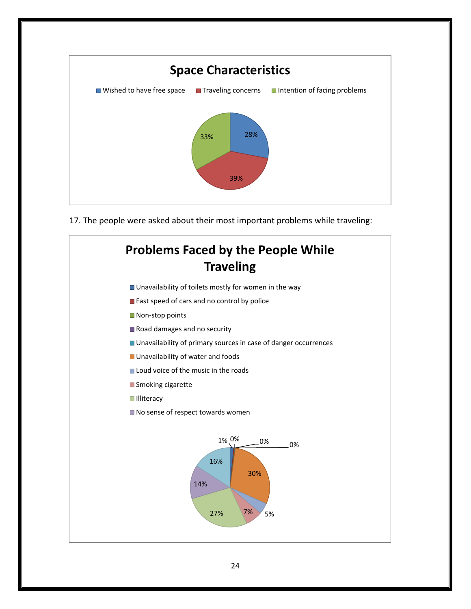

17. The people were asked about their most important problems while traveling:

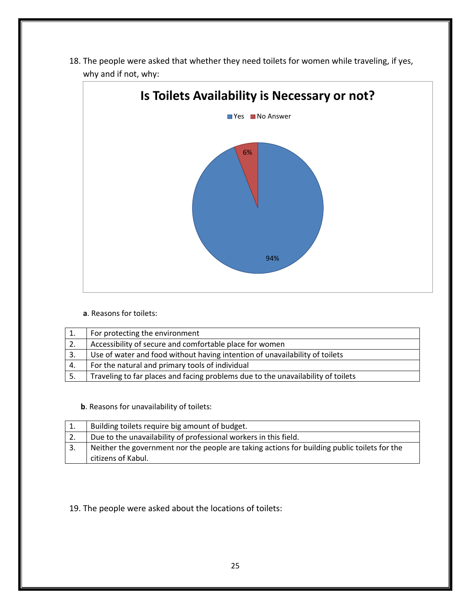18. The people were asked that whether they need toilets for women while traveling, if yes, why and if not, why:



**a**. Reasons for toilets:

|    | For protecting the environment                                                   |
|----|----------------------------------------------------------------------------------|
| 2. | Accessibility of secure and comfortable place for women                          |
|    | Use of water and food without having intention of unavailability of toilets      |
| 4. | For the natural and primary tools of individual                                  |
|    | Traveling to far places and facing problems due to the unavailability of toilets |

 **b**. Reasons for unavailability of toilets:

|    | Building toilets require big amount of budget.                                               |
|----|----------------------------------------------------------------------------------------------|
| 2. | Due to the unavailability of professional workers in this field.                             |
|    | Neither the government nor the people are taking actions for building public toilets for the |
|    | citizens of Kabul.                                                                           |

19. The people were asked about the locations of toilets: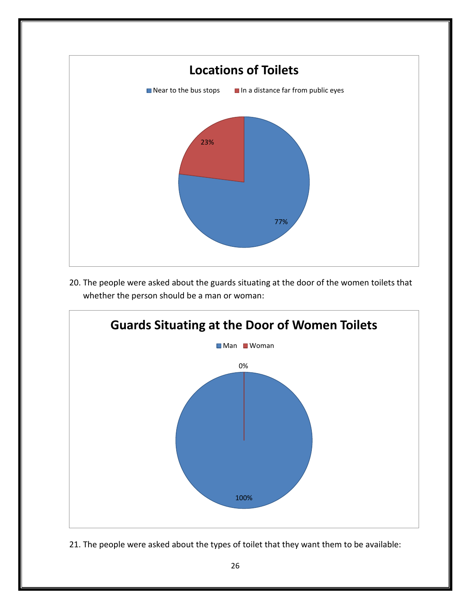

20. The people were asked about the guards situating at the door of the women toilets that whether the person should be a man or woman:



21. The people were asked about the types of toilet that they want them to be available: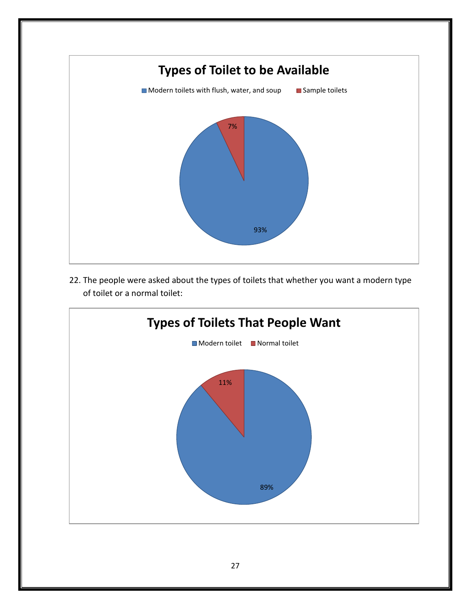

22. The people were asked about the types of toilets that whether you want a modern type of toilet or a normal toilet:

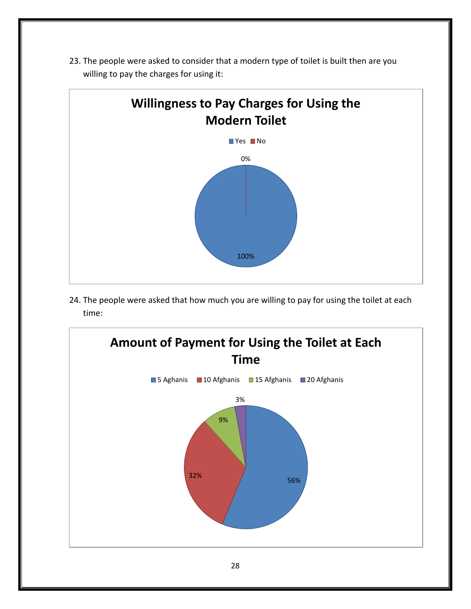

23. The people were asked to consider that a modern type of toilet is built then are you willing to pay the charges for using it:

24. The people were asked that how much you are willing to pay for using the toilet at each time:

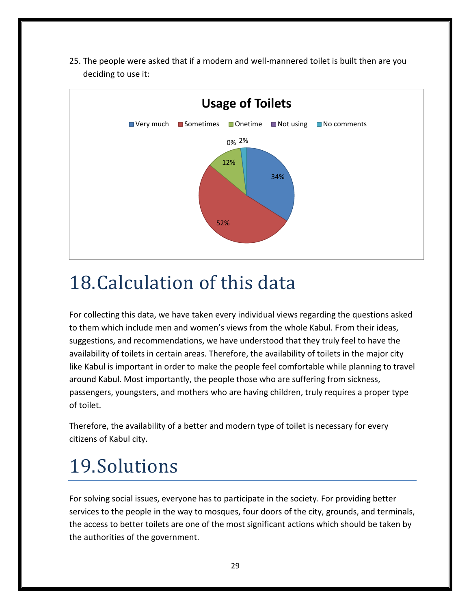25. The people were asked that if a modern and well-mannered toilet is built then are you deciding to use it:



### 18.Calculation of this data

For collecting this data, we have taken every individual views regarding the questions asked to them which include men and women's views from the whole Kabul. From their ideas, suggestions, and recommendations, we have understood that they truly feel to have the availability of toilets in certain areas. Therefore, the availability of toilets in the major city like Kabul is important in order to make the people feel comfortable while planning to travel around Kabul. Most importantly, the people those who are suffering from sickness, passengers, youngsters, and mothers who are having children, truly requires a proper type of toilet.

Therefore, the availability of a better and modern type of toilet is necessary for every citizens of Kabul city.

# 19.Solutions

For solving social issues, everyone has to participate in the society. For providing better services to the people in the way to mosques, four doors of the city, grounds, and terminals, the access to better toilets are one of the most significant actions which should be taken by the authorities of the government.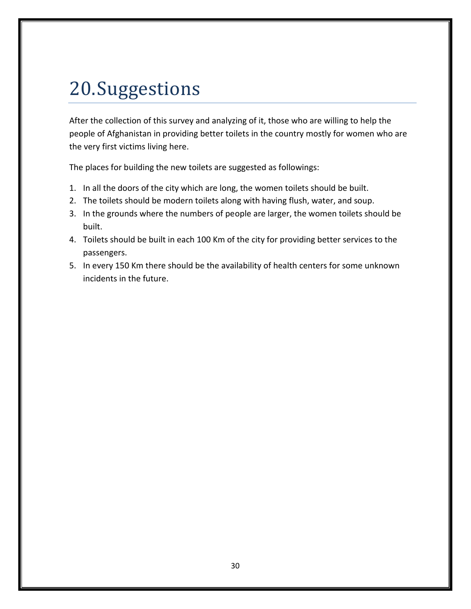### 20.Suggestions

After the collection of this survey and analyzing of it, those who are willing to help the people of Afghanistan in providing better toilets in the country mostly for women who are the very first victims living here.

The places for building the new toilets are suggested as followings:

- 1. In all the doors of the city which are long, the women toilets should be built.
- 2. The toilets should be modern toilets along with having flush, water, and soup.
- 3. In the grounds where the numbers of people are larger, the women toilets should be built.
- 4. Toilets should be built in each 100 Km of the city for providing better services to the passengers.
- 5. In every 150 Km there should be the availability of health centers for some unknown incidents in the future.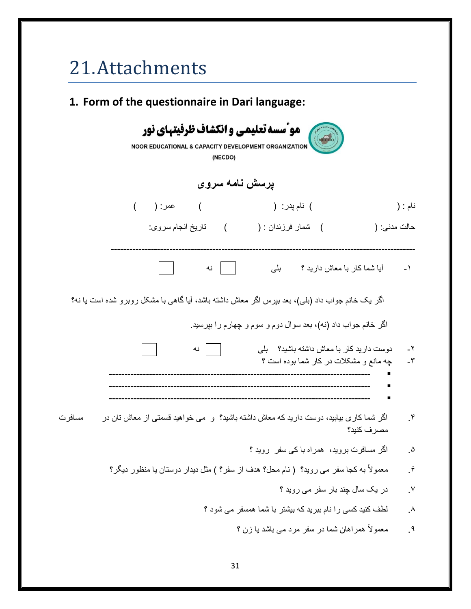# 21.Attachments

| 1. Form of the questionnaire in Dari language:                                                                    |                          |
|-------------------------------------------------------------------------------------------------------------------|--------------------------|
| مو ّسسه تعلیمی و انکشاف ظرفیتهای نور<br>NOOR EDUCATIONAL & CAPACITY DEVELOPMENT ORGANIZATION<br>(NECDO)           |                          |
| پرسش نامه سروی                                                                                                    |                          |
| ) عمر: ( )<br>) نام پدر: (                                                                                        | نام : (                  |
| ) تاريخ انجام سروي<br>) شمار فرزندان : (<br>حالت مدنی: (                                                          |                          |
| آیا شما کار با معاش دارید ؟          بلبی<br>نه                                                                   | $-1$                     |
| اگر یک خانم جواب داد (بلی)، بعد بپرس اگر معاش داشته باشد، آیا گاهی با مشکل روبرو شده است یا نه؟                   |                          |
| اگر خانم جواب داد (نه)، بعد سوال دوم و سوم و چهارم را بپرسید.                                                     |                          |
| دوست دارید کار با معاش داشته باشید؟ لبلی<br>نه<br>چه مانع و مشکلات در کار شما بوده است ؟                          | $-\tau$<br>$-\mathsf{r}$ |
|                                                                                                                   |                          |
| اگر شما کار ی بیابید، دوست دارید که معاش داشته باشید؟ و همی خواهید قسمتی از معاش تان در<br>مسافر ت<br>مصر ف كنيد؟ | $\cdot^{\mathsf{r}}$     |
| اگر مسافرت بروید،  همراه با کی سفر  روید ؟                                                                        | $\Delta$                 |
| معمولاً به کجا سفر می روید؟ ( نام محل؟ هدف از سفر؟ ) مثل دیدار دوستان یا منظور دیگر؟                              | $\cdot^{\hat{r}}$        |
| در یک سال چند بار سفر می روید ؟                                                                                   | $\cdot^{\vee}$           |
| لطف کنید کسی را نام ببرید که بیشتر با شما همسفر می شود ؟                                                          | $\Lambda$                |
| معمولاً همراهان شما در سفر مرد می باشد یا زن ؟                                                                    | $\cdot$                  |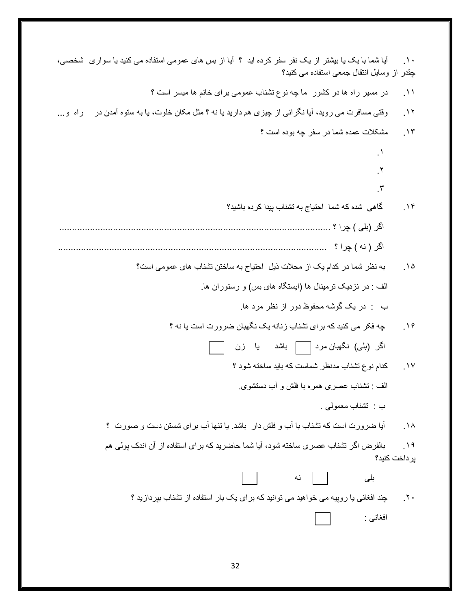| أیا شما با یک یا بیشتر از یک نفر سفر کرده اید ؟ أیا از بس های عمومی استفاده می کنید یا سواری ۖ شخصی،<br>چقدر از وسایل انتقال جمعی استفاده می کنید؟ | $\Delta$ .   |
|----------------------------------------------------------------------------------------------------------------------------------------------------|--------------|
| در مسیر راه ها در کشور ً ما چه نوع تشناب عمومی برای خانم ها میسر است ؟                                                                             | $\Delta$     |
| وقتی مسافرت می روید، آیا نگرانی از چیزی هم دارید یا نه ؟ مثل مکان خلوت، یا به ستوه آمدن در<br>راه و…                                               | $\gamma$     |
| مشکلات عمده شما در سفر چه بوده است ؟                                                                                                               | $\cdot$      |
| $\cdot$                                                                                                                                            |              |
| $\cdot$                                                                                                                                            |              |
| $\mathcal{N}$                                                                                                                                      |              |
| گاهی شده که شما احتیاج به تشناب پیدا کرده باشید؟                                                                                                   | $\cdot$      |
|                                                                                                                                                    |              |
|                                                                                                                                                    |              |
| به نظر شما در كدام يك از محلات ذيل احتياج به ساختن تشناب هاى عمومى است؟                                                                            | $\Delta$     |
| الف : در نزدیک ترمینال ها (ایستگاه های بس) و رستوران ها.                                                                                           |              |
| ب : در یک گوشه محفوظ دور از نظر مرد ها                                                                                                             |              |
| چه فکر می کنید که برای تشناب زنانه یک نگهبان ضرورت است یا نه ؟                                                                                     | .19          |
| اگر (بلی) نگهبان مرد [ ] باشد یا زن                                                                                                                |              |
| كدام نوع تشناب مدنظر شماست كه بايد ساخته شود ؟                                                                                                     | $\cdot$      |
| الف : تشناب عصرى همره با فلش و أب دستشوى                                                                                                           |              |
| ب تشناب معمولي .                                                                                                                                   |              |
| أیا ضرورت است که تشناب با أب و فلش دار ۖ باشد ۖ یا تنها أب بر ای شستن دست و صورت ۚ ؟                                                               | $\Lambda$    |
| بالفرض اگر تشناب عصری ساخته شود، آیا شما حاضرید که برای استفاده از آن اندک پولی هم                                                                 | $\lambda$    |
| بر داخت كنيد؟                                                                                                                                      |              |
| بلى<br>نه                                                                                                                                          |              |
| چند افغانی یا روپیه می خواهید می توانید که برای یک بار استفاده از تشناب بپردازید ؟                                                                 | $\mathbf{v}$ |
| افغانسي :                                                                                                                                          |              |
|                                                                                                                                                    |              |
|                                                                                                                                                    |              |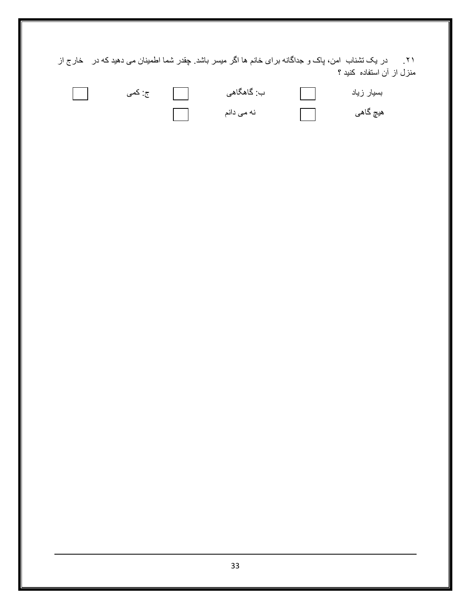.۲۱ در یک تشناب امن، پاک و جداگانه برای خانم ها اگر میسر باشد. چقدر شما اطمینان می دهید که در خارج از منزل از آن استفاده کنید ؟

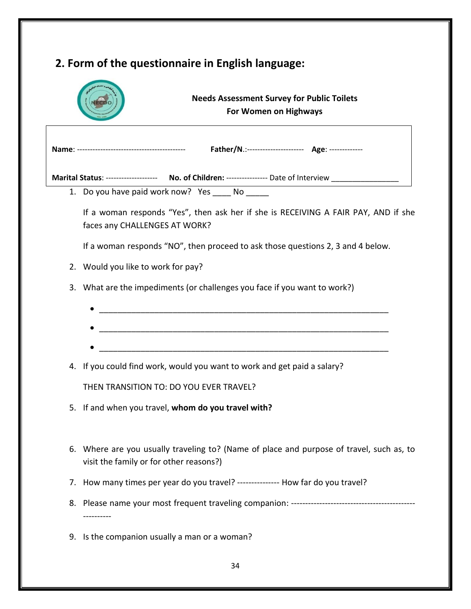|    | <b>Needs Assessment Survey for Public Toilets</b><br>For Women on Highways                                                          |
|----|-------------------------------------------------------------------------------------------------------------------------------------|
|    |                                                                                                                                     |
|    |                                                                                                                                     |
|    | Marital Status: ------------------- No. of Children: --------------- Date of Interview ____________                                 |
|    | 1. Do you have paid work now? Yes ______ No ______                                                                                  |
|    | If a woman responds "Yes", then ask her if she is RECEIVING A FAIR PAY, AND if she<br>faces any CHALLENGES AT WORK?                 |
|    | If a woman responds "NO", then proceed to ask those questions 2, 3 and 4 below.                                                     |
|    | 2. Would you like to work for pay?                                                                                                  |
|    | 3. What are the impediments (or challenges you face if you want to work?)                                                           |
|    |                                                                                                                                     |
|    |                                                                                                                                     |
|    |                                                                                                                                     |
|    | 4. If you could find work, would you want to work and get paid a salary?                                                            |
|    | THEN TRANSITION TO: DO YOU EVER TRAVEL?                                                                                             |
|    | 5. If and when you travel, whom do you travel with?                                                                                 |
|    | 6. Where are you usually traveling to? (Name of place and purpose of travel, such as, to<br>visit the family or for other reasons?) |
| 7. | How many times per year do you travel? --------------- How far do you travel?                                                       |
|    |                                                                                                                                     |
|    | 9. Is the companion usually a man or a woman?                                                                                       |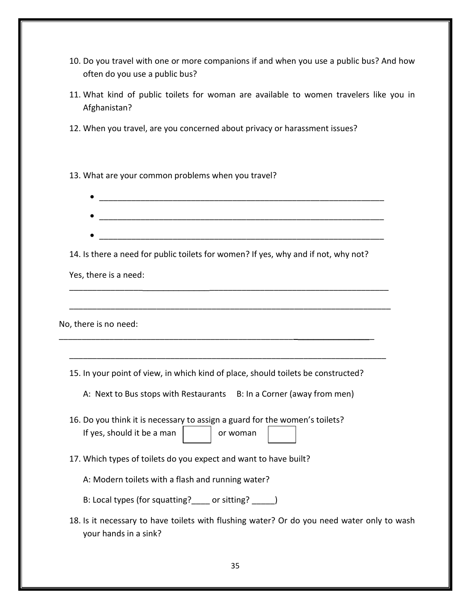- 10. Do you travel with one or more companions if and when you use a public bus? And how often do you use a public bus?
- 11. What kind of public toilets for woman are available to women travelers like you in Afghanistan?
- 12. When you travel, are you concerned about privacy or harassment issues?

13. What are your common problems when you travel?

| 14. Is there a need for public toilets for women? If yes, why and if not, why not?                                  |
|---------------------------------------------------------------------------------------------------------------------|
| Yes, there is a need:                                                                                               |
|                                                                                                                     |
| No, there is no need:                                                                                               |
|                                                                                                                     |
| 15. In your point of view, in which kind of place, should toilets be constructed?                                   |
| A: Next to Bus stops with Restaurants B: In a Corner (away from men)                                                |
| 16. Do you think it is necessary to assign a guard for the women's toilets?                                         |
| If yes, should it be a man<br>or woman                                                                              |
| 17. Which types of toilets do you expect and want to have built?                                                    |
| A: Modern toilets with a flash and running water?                                                                   |
| B: Local types (for squatting? _____ or sitting? ______)                                                            |
| 18. Is it necessary to have toilets with flushing water? Or do you need water only to wash<br>your hands in a sink? |